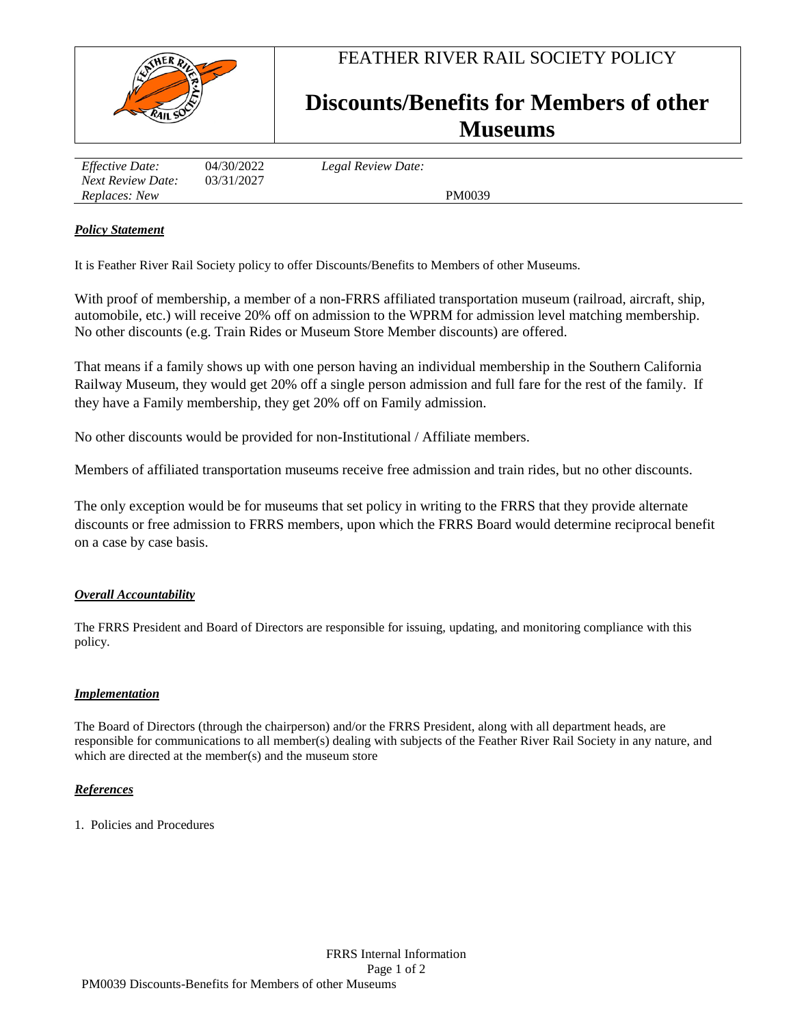

FEATHER RIVER RAIL SOCIETY POLICY

# **Discounts/Benefits for Members of other Museums**

| <i>Effective Date:</i><br><b>Next Review Date:</b> | 04/30/2022<br>03/31/2027 | Legal Review Date: |  |
|----------------------------------------------------|--------------------------|--------------------|--|
| Replaces: New                                      |                          | PM0039             |  |

## *Policy Statement*

It is Feather River Rail Society policy to offer Discounts/Benefits to Members of other Museums.

With proof of membership, a member of a non-FRRS affiliated transportation museum (railroad, aircraft, ship, automobile, etc.) will receive 20% off on admission to the WPRM for admission level matching membership. No other discounts (e.g. Train Rides or Museum Store Member discounts) are offered.

That means if a family shows up with one person having an individual membership in the Southern California Railway Museum, they would get 20% off a single person admission and full fare for the rest of the family. If they have a Family membership, they get 20% off on Family admission.

No other discounts would be provided for non-Institutional / Affiliate members.

Members of affiliated transportation museums receive free admission and train rides, but no other discounts.

The only exception would be for museums that set policy in writing to the FRRS that they provide alternate discounts or free admission to FRRS members, upon which the FRRS Board would determine reciprocal benefit on a case by case basis.

## *Overall Accountability*

The FRRS President and Board of Directors are responsible for issuing, updating, and monitoring compliance with this policy.

### *Implementation*

The Board of Directors (through the chairperson) and/or the FRRS President, along with all department heads, are responsible for communications to all member(s) dealing with subjects of the Feather River Rail Society in any nature, and which are directed at the member(s) and the museum store

### *References*

1. Policies and Procedures